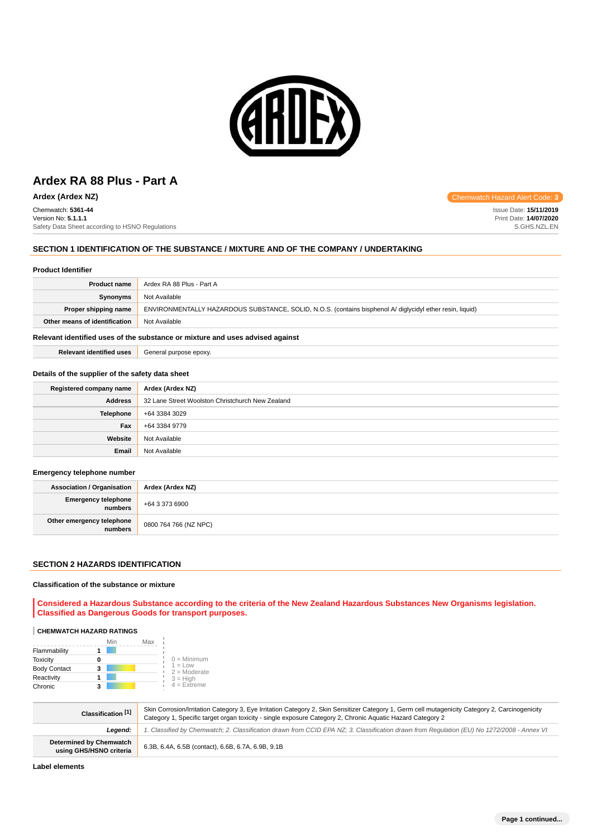

Safety Data Sheet according to HSNO Regulations

**Ardex (Ardex NZ) Chemwatch Hazard Alert Code: 3** Chemwatch: **5361-44** Version No: **5.1.1.1**

### **SECTION 1 IDENTIFICATION OF THE SUBSTANCE / MIXTURE AND OF THE COMPANY / UNDERTAKING**

#### **Product Identifier**

| <b>Product name</b>           | Ardex RA 88 Plus - Part A                                                                                 |
|-------------------------------|-----------------------------------------------------------------------------------------------------------|
| Synonyms                      | Not Available                                                                                             |
| Proper shipping name          | ENVIRONMENTALLY HAZARDOUS SUBSTANCE, SOLID, N.O.S. (contains bisphenol A/ diglycidyl ether resin, liquid) |
| Other means of identification | Not Available                                                                                             |

### **Relevant identified uses of the substance or mixture and uses advised against**

**Relevant identified uses** General purpose epoxy.

### **Details of the supplier of the safety data sheet**

| Registered company name | Ardex (Ardex NZ)                                 |
|-------------------------|--------------------------------------------------|
| <b>Address</b>          | 32 Lane Street Woolston Christchurch New Zealand |
| <b>Telephone</b>        | +64 3384 3029                                    |
| Fax                     | +64 3384 9779                                    |
| Website                 | Not Available                                    |
| Email                   | Not Available                                    |

#### **Emergency telephone number**

| <b>Association / Organisation</b>              | Ardex (Ardex NZ)      |
|------------------------------------------------|-----------------------|
| <b>Emergency telephone</b><br><b>I</b> numbers | +64 3 373 6900        |
| Other emergency telephone<br>numbers           | 0800 764 766 (NZ NPC) |

# **SECTION 2 HAZARDS IDENTIFICATION**

### **Classification of the substance or mixture**

**Considered a Hazardous Substance according to the criteria of the New Zealand Hazardous Substances New Organisms legislation. Classified as Dangerous Goods for transport purposes.**

#### **CHEMWATCH HAZARD RATINGS**

|                     | Min | Max |                             |
|---------------------|-----|-----|-----------------------------|
| Flammability        |     |     |                             |
| <b>Toxicity</b>     |     |     | $0 =$ Minimum               |
| <b>Body Contact</b> | 3   |     | $1 = Low$<br>$2 =$ Moderate |
| Reactivity          |     |     | $3 = High$                  |
| Chronic             | 2   |     | $4$ = Extreme               |

| Classification <sup>[1]</sup>                             | Skin Corrosion/Irritation Category 3, Eye Irritation Category 2, Skin Sensitizer Category 1, Germ cell mutagenicity Category 2, Carcinogenicity<br>Category 1, Specific target organ toxicity - single exposure Category 2, Chronic Aguatic Hazard Category 2 |
|-----------------------------------------------------------|---------------------------------------------------------------------------------------------------------------------------------------------------------------------------------------------------------------------------------------------------------------|
| Leaend:                                                   | 1. Classified by Chemwatch; 2. Classification drawn from CCID EPA NZ; 3. Classification drawn from Requlation (EU) No 1272/2008 - Annex VI                                                                                                                    |
| <b>Determined by Chemwatch</b><br>using GHS/HSNO criteria | 6.3B, 6.4A, 6.5B (contact), 6.6B, 6.7A, 6.9B, 9.1B                                                                                                                                                                                                            |

**Label elements**

S.GHS.NZL.EN

**Page 1 continued...**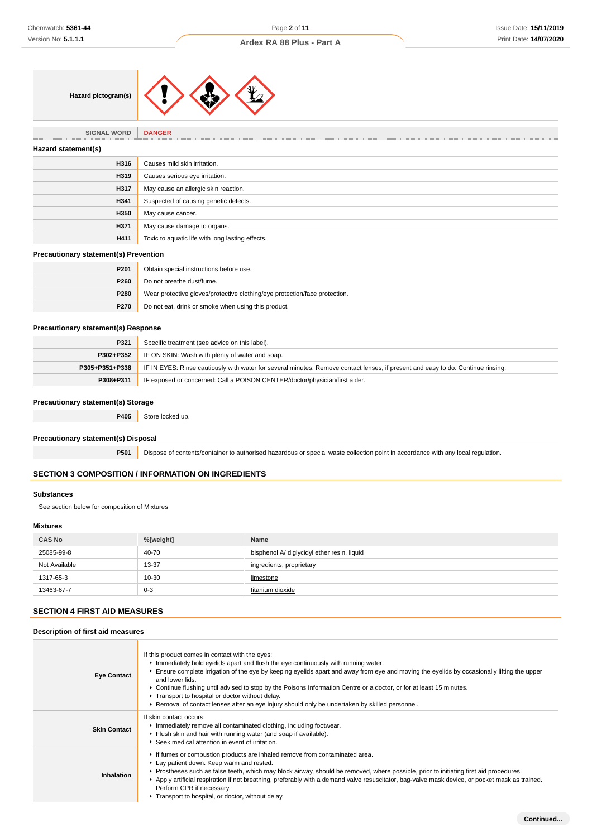

**SIGNAL WORD DANGER**

# **Hazard statement(s) H316** Causes mild skin irritation. **H319** Causes serious eye irritation. **H317** May cause an allergic skin reaction. **H341** Suspected of causing genetic defects. **H350** May cause cancer. **H371** May cause damage to organs. **H411** Toxic to aquatic life with long lasting effects.

# **Precautionary statement(s) Prevention**

| P <sub>201</sub> | Obtain special instructions before use.                                    |
|------------------|----------------------------------------------------------------------------|
| P <sub>260</sub> | Do not breathe dust/fume.                                                  |
| P280             | Wear protective gloves/protective clothing/eye protection/face protection. |
| P270             | Do not eat, drink or smoke when using this product.                        |

### **Precautionary statement(s) Response**

| P321           | Specific treatment (see advice on this label).                                                                                   |
|----------------|----------------------------------------------------------------------------------------------------------------------------------|
| P302+P352      | IF ON SKIN: Wash with plenty of water and soap.                                                                                  |
| P305+P351+P338 | IF IN EYES: Rinse cautiously with water for several minutes. Remove contact lenses, if present and easy to do. Continue rinsing. |
| P308+P311      | IF exposed or concerned: Call a POISON CENTER/doctor/physician/first aider.                                                      |

### **Precautionary statement(s) Storage**

**P405** Store locked up.

### **Precautionary statement(s) Disposal**

**P501** Dispose of contents/container to authorised hazardous or special waste collection point in accordance with any local regulation.

# **SECTION 3 COMPOSITION / INFORMATION ON INGREDIENTS**

#### **Substances**

See section below for composition of Mixtures

### **Mixtures**

| <b>CAS No</b> | %[weight] | <b>Name</b>                                 |
|---------------|-----------|---------------------------------------------|
| 25085-99-8    | 40-70     | bisphenol A/ diglycidyl ether resin, liquid |
| Not Available | 13-37     | ingredients, proprietary                    |
| 1317-65-3     | 10-30     | limestone                                   |
| 13463-67-7    | $0 - 3$   | titanium dioxide                            |

### **SECTION 4 FIRST AID MEASURES**

#### **Description of first aid measures**

| <b>Eye Contact</b>  | If this product comes in contact with the eyes:<br>Immediately hold eyelids apart and flush the eye continuously with running water.<br>Ensure complete irrigation of the eye by keeping eyelids apart and away from eye and moving the eyelids by occasionally lifting the upper<br>and lower lids.<br>► Continue flushing until advised to stop by the Poisons Information Centre or a doctor, or for at least 15 minutes.<br>Transport to hospital or doctor without delay.<br>► Removal of contact lenses after an eye injury should only be undertaken by skilled personnel. |
|---------------------|-----------------------------------------------------------------------------------------------------------------------------------------------------------------------------------------------------------------------------------------------------------------------------------------------------------------------------------------------------------------------------------------------------------------------------------------------------------------------------------------------------------------------------------------------------------------------------------|
| <b>Skin Contact</b> | If skin contact occurs:<br>Inmediately remove all contaminated clothing, including footwear.<br>Flush skin and hair with running water (and soap if available).<br>Seek medical attention in event of irritation.                                                                                                                                                                                                                                                                                                                                                                 |
| Inhalation          | If fumes or combustion products are inhaled remove from contaminated area.<br>Lay patient down. Keep warm and rested.<br>▶ Prostheses such as false teeth, which may block airway, should be removed, where possible, prior to initiating first aid procedures.<br>Apply artificial respiration if not breathing, preferably with a demand valve resuscitator, bag-valve mask device, or pocket mask as trained.<br>Perform CPR if necessary.<br>Transport to hospital, or doctor, without delay.                                                                                 |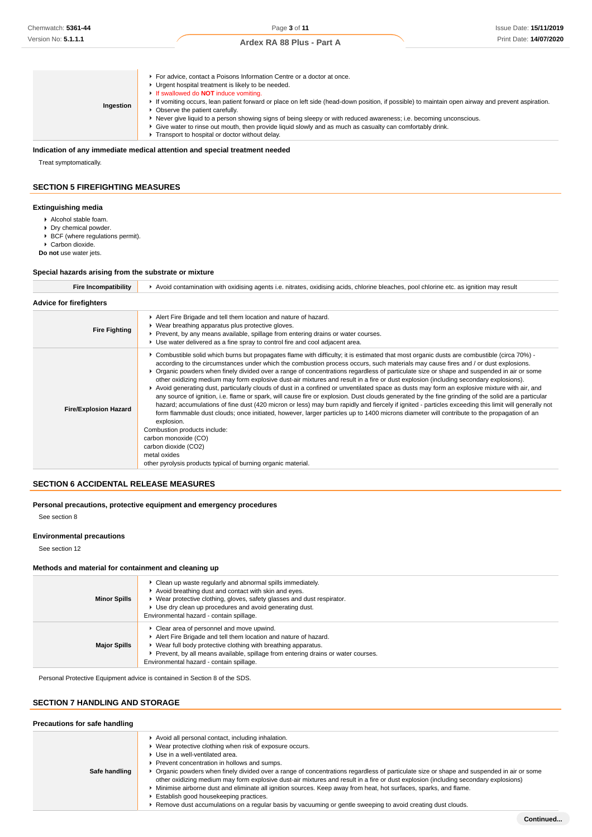| Ingestion | For advice, contact a Poisons Information Centre or a doctor at once.<br>• Urgent hospital treatment is likely to be needed.<br>If swallowed do <b>NOT</b> induce vomiting.<br>If vomiting occurs, lean patient forward or place on left side (head-down position, if possible) to maintain open airway and prevent aspiration.<br>• Observe the patient carefully.<br>► Never give liquid to a person showing signs of being sleepy or with reduced awareness; i.e. becoming unconscious.<br>► Give water to rinse out mouth, then provide liquid slowly and as much as casualty can comfortably drink.<br>F Transport to hospital or doctor without delay. |
|-----------|--------------------------------------------------------------------------------------------------------------------------------------------------------------------------------------------------------------------------------------------------------------------------------------------------------------------------------------------------------------------------------------------------------------------------------------------------------------------------------------------------------------------------------------------------------------------------------------------------------------------------------------------------------------|
|-----------|--------------------------------------------------------------------------------------------------------------------------------------------------------------------------------------------------------------------------------------------------------------------------------------------------------------------------------------------------------------------------------------------------------------------------------------------------------------------------------------------------------------------------------------------------------------------------------------------------------------------------------------------------------------|

### **Indication of any immediate medical attention and special treatment needed**

Treat symptomatically.

### **SECTION 5 FIREFIGHTING MEASURES**

### **Extinguishing media**

- Alcohol stable foam.
- **Dry chemical powder.**
- BCF (where regulations permit).

Carbon dioxide.

**Do not** use water jets.

### **Special hazards arising from the substrate or mixture**

| <b>Fire Incompatibility</b>    | ► Avoid contamination with oxidising agents i.e. nitrates, oxidising acids, chlorine bleaches, pool chlorine etc. as ignition may result                                                                                                                                                                                                                                                                                                                                                                                                                                                                                                                                                                                                                                                                                                                                                                                                                                                                                                                                                                                                                                                                                                                                                                                                                            |
|--------------------------------|---------------------------------------------------------------------------------------------------------------------------------------------------------------------------------------------------------------------------------------------------------------------------------------------------------------------------------------------------------------------------------------------------------------------------------------------------------------------------------------------------------------------------------------------------------------------------------------------------------------------------------------------------------------------------------------------------------------------------------------------------------------------------------------------------------------------------------------------------------------------------------------------------------------------------------------------------------------------------------------------------------------------------------------------------------------------------------------------------------------------------------------------------------------------------------------------------------------------------------------------------------------------------------------------------------------------------------------------------------------------|
| <b>Advice for firefighters</b> |                                                                                                                                                                                                                                                                                                                                                                                                                                                                                                                                                                                                                                                                                                                                                                                                                                                                                                                                                                                                                                                                                                                                                                                                                                                                                                                                                                     |
| <b>Fire Fighting</b>           | Alert Fire Brigade and tell them location and nature of hazard.<br>▶ Wear breathing apparatus plus protective gloves.<br>▶ Prevent, by any means available, spillage from entering drains or water courses.<br>► Use water delivered as a fine spray to control fire and cool adjacent area.                                                                                                                                                                                                                                                                                                                                                                                                                                                                                                                                                                                                                                                                                                                                                                                                                                                                                                                                                                                                                                                                        |
| <b>Fire/Explosion Hazard</b>   | ► Combustible solid which burns but propagates flame with difficulty; it is estimated that most organic dusts are combustible (circa 70%) -<br>according to the circumstances under which the combustion process occurs, such materials may cause fires and / or dust explosions.<br>▶ Organic powders when finely divided over a range of concentrations regardless of particulate size or shape and suspended in air or some<br>other oxidizing medium may form explosive dust-air mixtures and result in a fire or dust explosion (including secondary explosions).<br>▶ Avoid generating dust, particularly clouds of dust in a confined or unventilated space as dusts may form an explosive mixture with air, and<br>any source of ignition, i.e. flame or spark, will cause fire or explosion. Dust clouds generated by the fine grinding of the solid are a particular<br>hazard; accumulations of fine dust (420 micron or less) may burn rapidly and fiercely if ignited - particles exceeding this limit will generally not<br>form flammable dust clouds; once initiated, however, larger particles up to 1400 microns diameter will contribute to the propagation of an<br>explosion.<br>Combustion products include:<br>carbon monoxide (CO)<br>carbon dioxide (CO2)<br>metal oxides<br>other pyrolysis products typical of burning organic material. |

# **SECTION 6 ACCIDENTAL RELEASE MEASURES**

**Personal precautions, protective equipment and emergency procedures**

See section 8

### **Environmental precautions**

See section 12

### **Methods and material for containment and cleaning up**

| <b>Minor Spills</b> | • Clean up waste regularly and abnormal spills immediately.<br>Avoid breathing dust and contact with skin and eyes.<br>▶ Wear protective clothing, gloves, safety glasses and dust respirator.<br>▶ Use dry clean up procedures and avoid generating dust.<br>Environmental hazard - contain spillage.          |
|---------------------|-----------------------------------------------------------------------------------------------------------------------------------------------------------------------------------------------------------------------------------------------------------------------------------------------------------------|
| <b>Major Spills</b> | • Clear area of personnel and move upwind.<br>Alert Fire Brigade and tell them location and nature of hazard.<br>▶ Wear full body protective clothing with breathing apparatus.<br>Prevent, by all means available, spillage from entering drains or water courses.<br>Environmental hazard - contain spillage. |

Personal Protective Equipment advice is contained in Section 8 of the SDS.

# **SECTION 7 HANDLING AND STORAGE**

| Precautions for safe handling |                                                                                                                                                                                                                                                                                                                                                                                                                                                                                                                                                                                                                                                                                                                                                                     |
|-------------------------------|---------------------------------------------------------------------------------------------------------------------------------------------------------------------------------------------------------------------------------------------------------------------------------------------------------------------------------------------------------------------------------------------------------------------------------------------------------------------------------------------------------------------------------------------------------------------------------------------------------------------------------------------------------------------------------------------------------------------------------------------------------------------|
| Safe handling                 | Avoid all personal contact, including inhalation.<br>• Wear protective clothing when risk of exposure occurs.<br>▶ Use in a well-ventilated area.<br>Prevent concentration in hollows and sumps.<br>▶ Organic powders when finely divided over a range of concentrations regardless of particulate size or shape and suspended in air or some<br>other oxidizing medium may form explosive dust-air mixtures and result in a fire or dust explosion (including secondary explosions)<br>Minimise airborne dust and eliminate all ignition sources. Keep away from heat, hot surfaces, sparks, and flame.<br>Establish good housekeeping practices.<br>► Remove dust accumulations on a regular basis by vacuuming or gentle sweeping to avoid creating dust clouds. |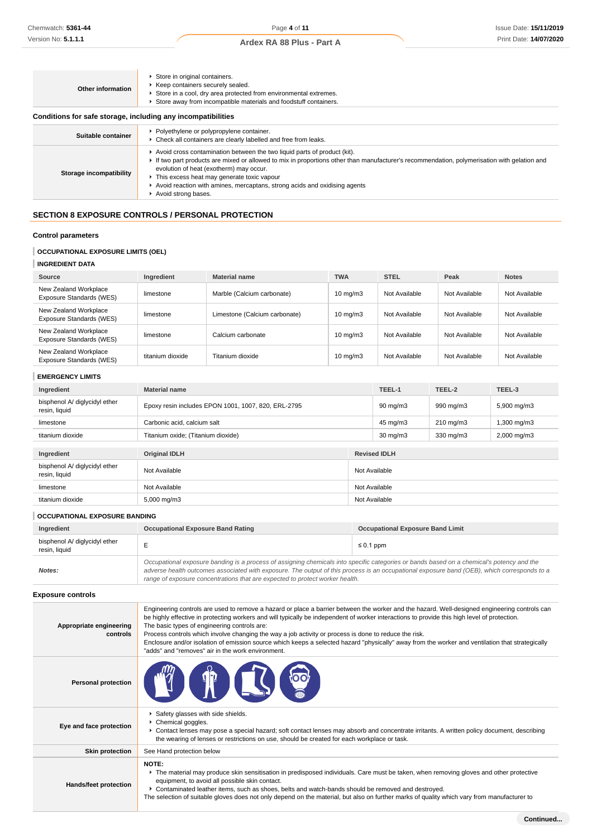| Other information                                            | Store in original containers.<br>▶ Keep containers securely sealed.<br>Store in a cool, dry area protected from environmental extremes.<br>Store away from incompatible materials and foodstuff containers.                                                                                                                                                                                                             |
|--------------------------------------------------------------|-------------------------------------------------------------------------------------------------------------------------------------------------------------------------------------------------------------------------------------------------------------------------------------------------------------------------------------------------------------------------------------------------------------------------|
| Conditions for safe storage, including any incompatibilities |                                                                                                                                                                                                                                                                                                                                                                                                                         |
| Suitable container                                           | ▶ Polyethylene or polypropylene container.<br>• Check all containers are clearly labelled and free from leaks.                                                                                                                                                                                                                                                                                                          |
| Storage incompatibility                                      | ► Avoid cross contamination between the two liquid parts of product (kit).<br>If two part products are mixed or allowed to mix in proportions other than manufacturer's recommendation, polymerisation with gelation and<br>evolution of heat (exotherm) may occur.<br>• This excess heat may generate toxic vapour<br>Avoid reaction with amines, mercaptans, strong acids and oxidising agents<br>Avoid strong bases. |

# **SECTION 8 EXPOSURE CONTROLS / PERSONAL PROTECTION**

# **Control parameters**

# **OCCUPATIONAL EXPOSURE LIMITS (OEL)**

# **INGREDIENT DATA**

| Source                                            | Ingredient       | <b>Material name</b>          | <b>TWA</b>        | <b>STEL</b>   | Peak          | <b>Notes</b>  |
|---------------------------------------------------|------------------|-------------------------------|-------------------|---------------|---------------|---------------|
| New Zealand Workplace<br>Exposure Standards (WES) | limestone        | Marble (Calcium carbonate)    | $10 \text{ mg/m}$ | Not Available | Not Available | Not Available |
| New Zealand Workplace<br>Exposure Standards (WES) | limestone        | Limestone (Calcium carbonate) | $10 \text{ mg/m}$ | Not Available | Not Available | Not Available |
| New Zealand Workplace<br>Exposure Standards (WES) | limestone        | Calcium carbonate             | $10 \text{ mg/m}$ | Not Available | Not Available | Not Available |
| New Zealand Workplace<br>Exposure Standards (WES) | titanium dioxide | Titanium dioxide              | $10 \text{ mg/m}$ | Not Available | Not Available | Not Available |

### **EMERGENCY LIMITS**

| Ingredient                                     | <b>Material name</b>                                |  | TEEL-1              | TEEL-2             | TEEL-3                  |
|------------------------------------------------|-----------------------------------------------------|--|---------------------|--------------------|-------------------------|
| bisphenol A/ diglycidyl ether<br>resin, liquid | Epoxy resin includes EPON 1001, 1007, 820, ERL-2795 |  | $90 \text{ mg/m}$   | 990 mg/m3          | 5,900 mg/m3             |
| limestone                                      | Carbonic acid, calcium salt                         |  | 45 mg/m3            | $210 \text{ mg/m}$ | 1,300 mg/m3             |
| titanium dioxide                               | Titanium oxide; (Titanium dioxide)                  |  | $30 \text{ mg/m}$   | 330 mg/m3          | $2,000 \,\mathrm{mg/m}$ |
| Ingredient                                     | <b>Original IDLH</b>                                |  | <b>Revised IDLH</b> |                    |                         |
| bisphenol A/ diglycidyl ether<br>resin, liquid | Not Available<br>Not Available                      |  |                     |                    |                         |
| limestone                                      | Not Available<br>Not Available                      |  |                     |                    |                         |
| titanium dioxide                               | Not Available<br>5,000 mg/m3                        |  |                     |                    |                         |

# **OCCUPATIONAL EXPOSURE BANDING**

| Ingredient                                     | <b>Occupational Exposure Band Rating</b>                                                                                                                                                                                                                                                                                                                                 | <b>Occupational Exposure Band Limit</b> |
|------------------------------------------------|--------------------------------------------------------------------------------------------------------------------------------------------------------------------------------------------------------------------------------------------------------------------------------------------------------------------------------------------------------------------------|-----------------------------------------|
| bisphenol A/ diglycidyl ether<br>resin, liquid |                                                                                                                                                                                                                                                                                                                                                                          | $\leq 0.1$ ppm                          |
| Notes:                                         | Occupational exposure banding is a process of assigning chemicals into specific categories or bands based on a chemical's potency and the<br>adverse health outcomes associated with exposure. The output of this process is an occupational exposure band (OEB), which corresponds to a<br>range of exposure concentrations that are expected to protect worker health. |                                         |

### **Exposure controls**

| Appropriate engineering<br>controls | Engineering controls are used to remove a hazard or place a barrier between the worker and the hazard. Well-designed engineering controls can<br>be highly effective in protecting workers and will typically be independent of worker interactions to provide this high level of protection.<br>The basic types of engineering controls are:<br>Process controls which involve changing the way a job activity or process is done to reduce the risk.<br>Enclosure and/or isolation of emission source which keeps a selected hazard "physically" away from the worker and ventilation that strategically<br>"adds" and "removes" air in the work environment. |
|-------------------------------------|-----------------------------------------------------------------------------------------------------------------------------------------------------------------------------------------------------------------------------------------------------------------------------------------------------------------------------------------------------------------------------------------------------------------------------------------------------------------------------------------------------------------------------------------------------------------------------------------------------------------------------------------------------------------|
| <b>Personal protection</b>          | <b>LTD LSI</b>                                                                                                                                                                                                                                                                                                                                                                                                                                                                                                                                                                                                                                                  |
| Eye and face protection             | Safety glasses with side shields.<br>▶ Chemical goggles.<br>► Contact lenses may pose a special hazard; soft contact lenses may absorb and concentrate irritants. A written policy document, describing<br>the wearing of lenses or restrictions on use, should be created for each workplace or task.                                                                                                                                                                                                                                                                                                                                                          |
| <b>Skin protection</b>              | See Hand protection below                                                                                                                                                                                                                                                                                                                                                                                                                                                                                                                                                                                                                                       |
| Hands/feet protection               | NOTE:<br>The material may produce skin sensitisation in predisposed individuals. Care must be taken, when removing gloves and other protective<br>equipment, to avoid all possible skin contact.<br>▶ Contaminated leather items, such as shoes, belts and watch-bands should be removed and destroyed.<br>The selection of suitable gloves does not only depend on the material, but also on further marks of quality which vary from manufacturer to                                                                                                                                                                                                          |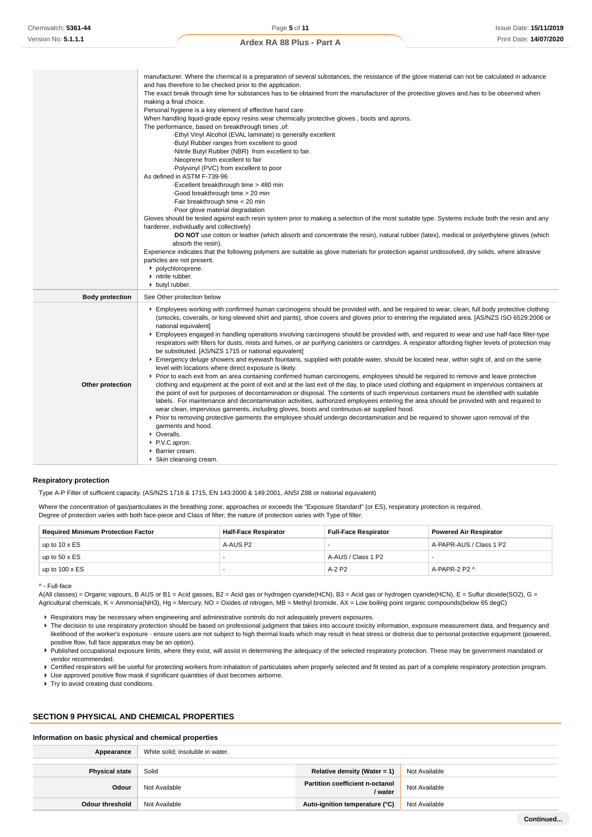|                        | manufacturer. Where the chemical is a preparation of several substances, the resistance of the glove material can not be calculated in advance<br>and has therefore to be checked prior to the application.<br>The exact break through time for substances has to be obtained from the manufacturer of the protective gloves and has to be observed when                                                                                                                                                                                                                                                                |
|------------------------|-------------------------------------------------------------------------------------------------------------------------------------------------------------------------------------------------------------------------------------------------------------------------------------------------------------------------------------------------------------------------------------------------------------------------------------------------------------------------------------------------------------------------------------------------------------------------------------------------------------------------|
|                        | making a final choice.                                                                                                                                                                                                                                                                                                                                                                                                                                                                                                                                                                                                  |
|                        | Personal hygiene is a key element of effective hand care.                                                                                                                                                                                                                                                                                                                                                                                                                                                                                                                                                               |
|                        | When handling liquid-grade epoxy resins wear chemically protective gloves, boots and aprons.                                                                                                                                                                                                                                                                                                                                                                                                                                                                                                                            |
|                        | The performance, based on breakthrough times, of:                                                                                                                                                                                                                                                                                                                                                                                                                                                                                                                                                                       |
|                        | -Ethyl Vinyl Alcohol (EVAL laminate) is generally excellent                                                                                                                                                                                                                                                                                                                                                                                                                                                                                                                                                             |
|                        | Butyl Rubber ranges from excellent to good                                                                                                                                                                                                                                                                                                                                                                                                                                                                                                                                                                              |
|                        | -Nitrile Butyl Rubber (NBR) from excellent to fair.<br>Neoprene from excellent to fair                                                                                                                                                                                                                                                                                                                                                                                                                                                                                                                                  |
|                        | . Polyvinyl (PVC) from excellent to poor                                                                                                                                                                                                                                                                                                                                                                                                                                                                                                                                                                                |
|                        | As defined in ASTM F-739-96                                                                                                                                                                                                                                                                                                                                                                                                                                                                                                                                                                                             |
|                        | Excellent breakthrough time > 480 min                                                                                                                                                                                                                                                                                                                                                                                                                                                                                                                                                                                   |
|                        | Good breakthrough time > 20 min                                                                                                                                                                                                                                                                                                                                                                                                                                                                                                                                                                                         |
|                        | ·Fair breakthrough time < 20 min                                                                                                                                                                                                                                                                                                                                                                                                                                                                                                                                                                                        |
|                        | Poor glove material degradation                                                                                                                                                                                                                                                                                                                                                                                                                                                                                                                                                                                         |
|                        | Gloves should be tested against each resin system prior to making a selection of the most suitable type. Systems include both the resin and any<br>hardener, individually and collectively)                                                                                                                                                                                                                                                                                                                                                                                                                             |
|                        | DO NOT use cotton or leather (which absorb and concentrate the resin), natural rubber (latex), medical or polyethylene gloves (which<br>absorb the resin).                                                                                                                                                                                                                                                                                                                                                                                                                                                              |
|                        | Experience indicates that the following polymers are suitable as glove materials for protection against undissolved, dry solids, where abrasive<br>particles are not present.<br>polychloroprene.                                                                                                                                                                                                                                                                                                                                                                                                                       |
|                        | nitrile rubber.                                                                                                                                                                                                                                                                                                                                                                                                                                                                                                                                                                                                         |
|                        | butyl rubber.                                                                                                                                                                                                                                                                                                                                                                                                                                                                                                                                                                                                           |
| <b>Body protection</b> | See Other protection below                                                                                                                                                                                                                                                                                                                                                                                                                                                                                                                                                                                              |
|                        | Employees working with confirmed human carcinogens should be provided with, and be required to wear, clean, full body protective clothing<br>(smocks, coveralls, or long-sleeved shirt and pants), shoe covers and gloves prior to entering the regulated area. [AS/NZS ISO 6529:2006 or<br>national equivalent]<br>Employees engaged in handling operations involving carcinogens should be provided with, and required to wear and use half-face filter-type<br>respirators with filters for dusts, mists and fumes, or air purifying canisters or cartridges. A respirator affording higher levels of protection may |
|                        | be substituted. [AS/NZS 1715 or national equivalent]<br>Emergency deluge showers and eyewash fountains, supplied with potable water, should be located near, within sight of, and on the same                                                                                                                                                                                                                                                                                                                                                                                                                           |
|                        | level with locations where direct exposure is likely.                                                                                                                                                                                                                                                                                                                                                                                                                                                                                                                                                                   |
|                        | ▶ Prior to each exit from an area containing confirmed human carcinogens, employees should be required to remove and leave protective                                                                                                                                                                                                                                                                                                                                                                                                                                                                                   |
| Other protection       | clothing and equipment at the point of exit and at the last exit of the day, to place used clothing and equipment in impervious containers at                                                                                                                                                                                                                                                                                                                                                                                                                                                                           |
|                        | the point of exit for purposes of decontamination or disposal. The contents of such impervious containers must be identified with suitable                                                                                                                                                                                                                                                                                                                                                                                                                                                                              |
|                        | labels. For maintenance and decontamination activities, authorized employees entering the area should be provided with and required to                                                                                                                                                                                                                                                                                                                                                                                                                                                                                  |
|                        | wear clean, impervious garments, including gloves, boots and continuous-air supplied hood.                                                                                                                                                                                                                                                                                                                                                                                                                                                                                                                              |
|                        | ► Prior to removing protective garments the employee should undergo decontamination and be required to shower upon removal of the                                                                                                                                                                                                                                                                                                                                                                                                                                                                                       |
|                        | garments and hood.<br>• Overalls.                                                                                                                                                                                                                                                                                                                                                                                                                                                                                                                                                                                       |
|                        | P.V.C apron.                                                                                                                                                                                                                                                                                                                                                                                                                                                                                                                                                                                                            |
|                        | ▶ Barrier cream.                                                                                                                                                                                                                                                                                                                                                                                                                                                                                                                                                                                                        |
|                        | ▶ Skin cleansing cream.                                                                                                                                                                                                                                                                                                                                                                                                                                                                                                                                                                                                 |

#### **Respiratory protection**

Type A-P Filter of sufficient capacity. (AS/NZS 1716 & 1715, EN 143:2000 & 149:2001, ANSI Z88 or national equivalent)

Where the concentration of gas/particulates in the breathing zone, approaches or exceeds the "Exposure Standard" (or ES), respiratory protection is required. Degree of protection varies with both face-piece and Class of filter; the nature of protection varies with Type of filter.

| <b>Required Minimum Protection Factor</b> | Half-Face Respirator | <b>Full-Face Respirator</b> | <b>Powered Air Respirator</b> |
|-------------------------------------------|----------------------|-----------------------------|-------------------------------|
| up to $10 \times ES$                      | A-AUS P2             |                             | A-PAPR-AUS / Class 1 P2       |
| up to $50 \times ES$                      |                      | A-AUS / Class 1 P2          |                               |
| up to $100 \times ES$                     |                      | $A-2$ P <sub>2</sub>        | A-PAPR-2 P2 ^                 |

^ - Full-face

A(All classes) = Organic vapours, B AUS or B1 = Acid gasses, B2 = Acid gas or hydrogen cyanide(HCN), B3 = Acid gas or hydrogen cyanide(HCN), E = Sulfur dioxide(SO2), G = Agricultural chemicals, K = Ammonia(NH3), Hg = Mercury, NO = Oxides of nitrogen, MB = Methyl bromide, AX = Low boiling point organic compounds(below 65 degC)

- Respirators may be necessary when engineering and administrative controls do not adequately prevent exposures.
- The decision to use respiratory protection should be based on professional judgment that takes into account toxicity information, exposure measurement data, and frequency and likelihood of the worker's exposure - ensure users are not subject to high thermal loads which may result in heat stress or distress due to personal protective equipment (powered, positive flow, full face apparatus may be an option).
- Published occupational exposure limits, where they exist, will assist in determining the adequacy of the selected respiratory protection. These may be government mandated or vendor recommended.

▶ Certified respirators will be useful for protecting workers from inhalation of particulates when properly selected and fit tested as part of a complete respiratory protection program.

Use approved positive flow mask if significant quantities of dust becomes airborne.

Try to avoid creating dust conditions.

### **SECTION 9 PHYSICAL AND CHEMICAL PROPERTIES**

### **Information on basic physical and chemical properties**

| Appearance             | White solid; insoluble in water. |                                                   |               |
|------------------------|----------------------------------|---------------------------------------------------|---------------|
| <b>Physical state</b>  | Solid                            | Relative density (Water = 1)                      | Not Available |
| Odour                  | Not Available                    | <b>Partition coefficient n-octanol</b><br>/ water | Not Available |
| <b>Odour threshold</b> | Not Available                    | Auto-ignition temperature (°C)                    | Not Available |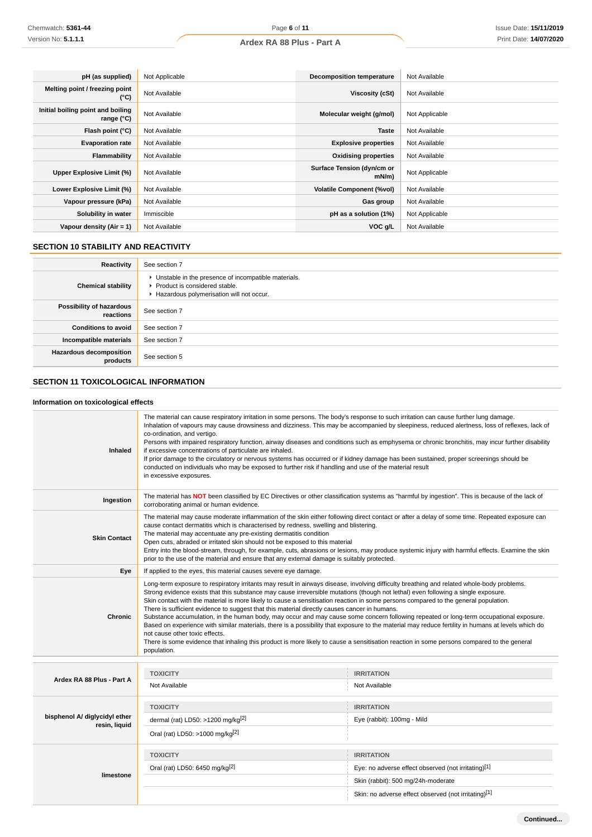| pH (as supplied)                                | Not Applicable | <b>Decomposition temperature</b>       | Not Available  |
|-------------------------------------------------|----------------|----------------------------------------|----------------|
| Melting point / freezing point<br>(°C)          | Not Available  | Viscosity (cSt)                        | Not Available  |
| Initial boiling point and boiling<br>range (°C) | Not Available  | Molecular weight (g/mol)               | Not Applicable |
| Flash point (°C)                                | Not Available  | <b>Taste</b>                           | Not Available  |
| <b>Evaporation rate</b>                         | Not Available  | <b>Explosive properties</b>            | Not Available  |
| Flammability                                    | Not Available  | <b>Oxidising properties</b>            | Not Available  |
| Upper Explosive Limit (%)                       | Not Available  | Surface Tension (dyn/cm or<br>$mN/m$ ) | Not Applicable |
| Lower Explosive Limit (%)                       | Not Available  | <b>Volatile Component (%vol)</b>       | Not Available  |
| Vapour pressure (kPa)                           | Not Available  | Gas group                              | Not Available  |
| Solubility in water                             | Immiscible     | pH as a solution (1%)                  | Not Applicable |
| Vapour density $(Air = 1)$                      | Not Available  | VOC g/L                                | Not Available  |

# **SECTION 10 STABILITY AND REACTIVITY**

| Reactivity                                 | See section 7                                                                                                                        |
|--------------------------------------------|--------------------------------------------------------------------------------------------------------------------------------------|
| <b>Chemical stability</b>                  | • Unstable in the presence of incompatible materials.<br>▶ Product is considered stable.<br>Hazardous polymerisation will not occur. |
| Possibility of hazardous<br>reactions      | See section 7                                                                                                                        |
| <b>Conditions to avoid</b>                 | See section 7                                                                                                                        |
| Incompatible materials                     | See section 7                                                                                                                        |
| <b>Hazardous decomposition</b><br>products | See section 5                                                                                                                        |

# **SECTION 11 TOXICOLOGICAL INFORMATION**

# **Information on toxicological effects**

| <b>Inhaled</b>                                 | The material can cause respiratory irritation in some persons. The body's response to such irritation can cause further lung damage.<br>Inhalation of vapours may cause drowsiness and dizziness. This may be accompanied by sleepiness, reduced alertness, loss of reflexes, lack of<br>co-ordination, and vertigo.<br>Persons with impaired respiratory function, airway diseases and conditions such as emphysema or chronic bronchitis, may incur further disability<br>if excessive concentrations of particulate are inhaled.<br>If prior damage to the circulatory or nervous systems has occurred or if kidney damage has been sustained, proper screenings should be<br>conducted on individuals who may be exposed to further risk if handling and use of the material result<br>in excessive exposures.                                                                                                                                                                                                    |                                                                                                                |  |
|------------------------------------------------|-----------------------------------------------------------------------------------------------------------------------------------------------------------------------------------------------------------------------------------------------------------------------------------------------------------------------------------------------------------------------------------------------------------------------------------------------------------------------------------------------------------------------------------------------------------------------------------------------------------------------------------------------------------------------------------------------------------------------------------------------------------------------------------------------------------------------------------------------------------------------------------------------------------------------------------------------------------------------------------------------------------------------|----------------------------------------------------------------------------------------------------------------|--|
| Ingestion                                      | The material has NOT been classified by EC Directives or other classification systems as "harmful by ingestion". This is because of the lack of<br>corroborating animal or human evidence.                                                                                                                                                                                                                                                                                                                                                                                                                                                                                                                                                                                                                                                                                                                                                                                                                            |                                                                                                                |  |
| <b>Skin Contact</b>                            | The material may cause moderate inflammation of the skin either following direct contact or after a delay of some time. Repeated exposure can<br>cause contact dermatitis which is characterised by redness, swelling and blistering.<br>The material may accentuate any pre-existing dermatitis condition<br>Open cuts, abraded or irritated skin should not be exposed to this material<br>Entry into the blood-stream, through, for example, cuts, abrasions or lesions, may produce systemic injury with harmful effects. Examine the skin<br>prior to the use of the material and ensure that any external damage is suitably protected.                                                                                                                                                                                                                                                                                                                                                                         |                                                                                                                |  |
| Eye                                            | If applied to the eyes, this material causes severe eye damage.                                                                                                                                                                                                                                                                                                                                                                                                                                                                                                                                                                                                                                                                                                                                                                                                                                                                                                                                                       |                                                                                                                |  |
| <b>Chronic</b>                                 | Long-term exposure to respiratory irritants may result in airways disease, involving difficulty breathing and related whole-body problems.<br>Strong evidence exists that this substance may cause irreversible mutations (though not lethal) even following a single exposure.<br>Skin contact with the material is more likely to cause a sensitisation reaction in some persons compared to the general population.<br>There is sufficient evidence to suggest that this material directly causes cancer in humans.<br>Substance accumulation, in the human body, may occur and may cause some concern following repeated or long-term occupational exposure.<br>Based on experience with similar materials, there is a possibility that exposure to the material may reduce fertility in humans at levels which do<br>not cause other toxic effects.<br>There is some evidence that inhaling this product is more likely to cause a sensitisation reaction in some persons compared to the general<br>population. |                                                                                                                |  |
|                                                | <b>TOXICITY</b>                                                                                                                                                                                                                                                                                                                                                                                                                                                                                                                                                                                                                                                                                                                                                                                                                                                                                                                                                                                                       | <b>IRRITATION</b>                                                                                              |  |
| Ardex RA 88 Plus - Part A                      | Not Available                                                                                                                                                                                                                                                                                                                                                                                                                                                                                                                                                                                                                                                                                                                                                                                                                                                                                                                                                                                                         | Not Available                                                                                                  |  |
| bisphenol A/ diglycidyl ether<br>resin, liquid | <b>TOXICITY</b><br>dermal (rat) LD50: >1200 mg/kg <sup>[2]</sup><br>Oral (rat) LD50: >1000 mg/kg <sup>[2]</sup>                                                                                                                                                                                                                                                                                                                                                                                                                                                                                                                                                                                                                                                                                                                                                                                                                                                                                                       | <b>IRRITATION</b><br>Eye (rabbit): 100mg - Mild                                                                |  |
| limestone                                      | <b>TOXICITY</b><br>Oral (rat) LD50: 6450 mg/kg <sup>[2]</sup>                                                                                                                                                                                                                                                                                                                                                                                                                                                                                                                                                                                                                                                                                                                                                                                                                                                                                                                                                         | <b>IRRITATION</b><br>Eye: no adverse effect observed (not irritating)[1]<br>Skin (rabbit): 500 mg/24h-moderate |  |
|                                                |                                                                                                                                                                                                                                                                                                                                                                                                                                                                                                                                                                                                                                                                                                                                                                                                                                                                                                                                                                                                                       | Skin: no adverse effect observed (not irritating)[1]                                                           |  |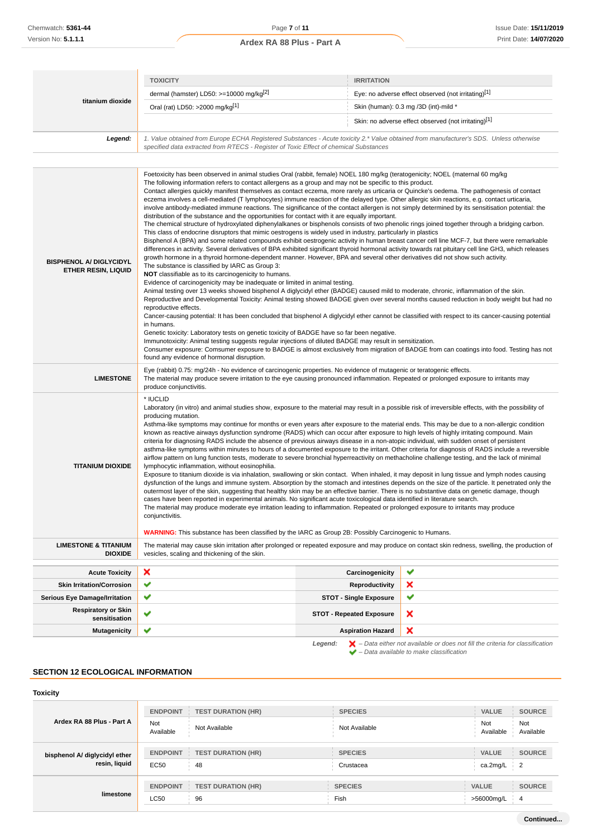| titanium dioxide                                             | <b>TOXICITY</b>                                                                                                                                                                                                                                                                                                                                                                                                                                                                                                                                                                                                                                                                                                                                                                                                                                                                                                                                                                                                                                                                                                                                                                                                                                                                                                                                                                                                                                                                                                                                                                                                                                                                                                                                                                                                                                                                                                                                                                                                                                                                                                                                                                                                                                                                                                                                                                                                                                                                                                                                                                                      | <b>IRRITATION</b>               |                                                      |
|--------------------------------------------------------------|------------------------------------------------------------------------------------------------------------------------------------------------------------------------------------------------------------------------------------------------------------------------------------------------------------------------------------------------------------------------------------------------------------------------------------------------------------------------------------------------------------------------------------------------------------------------------------------------------------------------------------------------------------------------------------------------------------------------------------------------------------------------------------------------------------------------------------------------------------------------------------------------------------------------------------------------------------------------------------------------------------------------------------------------------------------------------------------------------------------------------------------------------------------------------------------------------------------------------------------------------------------------------------------------------------------------------------------------------------------------------------------------------------------------------------------------------------------------------------------------------------------------------------------------------------------------------------------------------------------------------------------------------------------------------------------------------------------------------------------------------------------------------------------------------------------------------------------------------------------------------------------------------------------------------------------------------------------------------------------------------------------------------------------------------------------------------------------------------------------------------------------------------------------------------------------------------------------------------------------------------------------------------------------------------------------------------------------------------------------------------------------------------------------------------------------------------------------------------------------------------------------------------------------------------------------------------------------------------|---------------------------------|------------------------------------------------------|
|                                                              | dermal (hamster) LD50: >=10000 mg/kg <sup>[2]</sup>                                                                                                                                                                                                                                                                                                                                                                                                                                                                                                                                                                                                                                                                                                                                                                                                                                                                                                                                                                                                                                                                                                                                                                                                                                                                                                                                                                                                                                                                                                                                                                                                                                                                                                                                                                                                                                                                                                                                                                                                                                                                                                                                                                                                                                                                                                                                                                                                                                                                                                                                                  |                                 | Eye: no adverse effect observed (not irritating)[1]  |
|                                                              | Oral (rat) LD50: >2000 mg/kg[1]                                                                                                                                                                                                                                                                                                                                                                                                                                                                                                                                                                                                                                                                                                                                                                                                                                                                                                                                                                                                                                                                                                                                                                                                                                                                                                                                                                                                                                                                                                                                                                                                                                                                                                                                                                                                                                                                                                                                                                                                                                                                                                                                                                                                                                                                                                                                                                                                                                                                                                                                                                      |                                 | Skin (human): 0.3 mg /3D (int)-mild *                |
|                                                              |                                                                                                                                                                                                                                                                                                                                                                                                                                                                                                                                                                                                                                                                                                                                                                                                                                                                                                                                                                                                                                                                                                                                                                                                                                                                                                                                                                                                                                                                                                                                                                                                                                                                                                                                                                                                                                                                                                                                                                                                                                                                                                                                                                                                                                                                                                                                                                                                                                                                                                                                                                                                      |                                 | Skin: no adverse effect observed (not irritating)[1] |
| Legend:                                                      | 1. Value obtained from Europe ECHA Registered Substances - Acute toxicity 2.* Value obtained from manufacturer's SDS. Unless otherwise<br>specified data extracted from RTECS - Register of Toxic Effect of chemical Substances                                                                                                                                                                                                                                                                                                                                                                                                                                                                                                                                                                                                                                                                                                                                                                                                                                                                                                                                                                                                                                                                                                                                                                                                                                                                                                                                                                                                                                                                                                                                                                                                                                                                                                                                                                                                                                                                                                                                                                                                                                                                                                                                                                                                                                                                                                                                                                      |                                 |                                                      |
|                                                              |                                                                                                                                                                                                                                                                                                                                                                                                                                                                                                                                                                                                                                                                                                                                                                                                                                                                                                                                                                                                                                                                                                                                                                                                                                                                                                                                                                                                                                                                                                                                                                                                                                                                                                                                                                                                                                                                                                                                                                                                                                                                                                                                                                                                                                                                                                                                                                                                                                                                                                                                                                                                      |                                 |                                                      |
| <b>BISPHENOL A/ DIGLYCIDYL</b><br><b>ETHER RESIN, LIQUID</b> | Foetoxicity has been observed in animal studies Oral (rabbit, female) NOEL 180 mg/kg (teratogenicity; NOEL (maternal 60 mg/kg<br>The following information refers to contact allergens as a group and may not be specific to this product.<br>Contact allergies quickly manifest themselves as contact eczema, more rarely as urticaria or Quincke's oedema. The pathogenesis of contact<br>eczema involves a cell-mediated (T lymphocytes) immune reaction of the delayed type. Other allergic skin reactions, e.g. contact urticaria,<br>involve antibody-mediated immune reactions. The significance of the contact allergen is not simply determined by its sensitisation potential: the<br>distribution of the substance and the opportunities for contact with it are equally important.<br>The chemical structure of hydroxylated diphenylalkanes or bisphenols consists of two phenolic rings joined together through a bridging carbon.<br>This class of endocrine disruptors that mimic oestrogens is widely used in industry, particularly in plastics<br>Bisphenol A (BPA) and some related compounds exhibit oestrogenic activity in human breast cancer cell line MCF-7, but there were remarkable<br>differences in activity. Several derivatives of BPA exhibited significant thyroid hormonal activity towards rat pituitary cell line GH3, which releases<br>growth hormone in a thyroid hormone-dependent manner. However, BPA and several other derivatives did not show such activity.<br>The substance is classified by IARC as Group 3:<br><b>NOT</b> classifiable as to its carcinogenicity to humans.<br>Evidence of carcinogenicity may be inadequate or limited in animal testing.<br>Animal testing over 13 weeks showed bisphenol A diglycidyl ether (BADGE) caused mild to moderate, chronic, inflammation of the skin.<br>Reproductive and Developmental Toxicity: Animal testing showed BADGE given over several months caused reduction in body weight but had no<br>reproductive effects.<br>Cancer-causing potential: It has been concluded that bisphenol A diglycidyl ether cannot be classified with respect to its cancer-causing potential<br>in humans.<br>Genetic toxicity: Laboratory tests on genetic toxicity of BADGE have so far been negative.<br>Immunotoxicity: Animal testing suggests regular injections of diluted BADGE may result in sensitization.<br>Consumer exposure: Comsumer exposure to BADGE is almost exclusively from migration of BADGE from can coatings into food. Testing has not<br>found any evidence of hormonal disruption. |                                 |                                                      |
| <b>LIMESTONE</b>                                             | Eye (rabbit) 0.75: mg/24h - No evidence of carcinogenic properties. No evidence of mutagenic or teratogenic effects.<br>The material may produce severe irritation to the eye causing pronounced inflammation. Repeated or prolonged exposure to irritants may<br>produce conjunctivitis.                                                                                                                                                                                                                                                                                                                                                                                                                                                                                                                                                                                                                                                                                                                                                                                                                                                                                                                                                                                                                                                                                                                                                                                                                                                                                                                                                                                                                                                                                                                                                                                                                                                                                                                                                                                                                                                                                                                                                                                                                                                                                                                                                                                                                                                                                                            |                                 |                                                      |
| <b>TITANIUM DIOXIDE</b>                                      | * IUCLID<br>Laboratory (in vitro) and animal studies show, exposure to the material may result in a possible risk of irreversible effects, with the possibility of<br>producing mutation.<br>Asthma-like symptoms may continue for months or even years after exposure to the material ends. This may be due to a non-allergic condition<br>known as reactive airways dysfunction syndrome (RADS) which can occur after exposure to high levels of highly irritating compound. Main<br>criteria for diagnosing RADS include the absence of previous airways disease in a non-atopic individual, with sudden onset of persistent<br>asthma-like symptoms within minutes to hours of a documented exposure to the irritant. Other criteria for diagnosis of RADS include a reversible<br>airflow pattern on lung function tests, moderate to severe bronchial hyperreactivity on methacholine challenge testing, and the lack of minimal<br>lymphocytic inflammation, without eosinophilia.<br>Exposure to titanium dioxide is via inhalation, swallowing or skin contact. When inhaled, it may deposit in lung tissue and lymph nodes causing<br>dysfunction of the lungs and immune system. Absorption by the stomach and intestines depends on the size of the particle. It penetrated only the<br>outermost layer of the skin, suggesting that healthy skin may be an effective barrier. There is no substantive data on genetic damage, though<br>cases have been reported in experimental animals. No significant acute toxicological data identified in literature search.<br>The material may produce moderate eye irritation leading to inflammation. Repeated or prolonged exposure to irritants may produce<br>conjunctivitis.<br><b>WARNING:</b> This substance has been classified by the IARC as Group 2B: Possibly Carcinogenic to Humans.                                                                                                                                                                                                                                                                                                                                                                                                                                                                                                                                                                                                                                                                                                                                              |                                 |                                                      |
| <b>LIMESTONE &amp; TITANIUM</b>                              | The material may cause skin irritation after prolonged or repeated exposure and may produce on contact skin redness, swelling, the production of                                                                                                                                                                                                                                                                                                                                                                                                                                                                                                                                                                                                                                                                                                                                                                                                                                                                                                                                                                                                                                                                                                                                                                                                                                                                                                                                                                                                                                                                                                                                                                                                                                                                                                                                                                                                                                                                                                                                                                                                                                                                                                                                                                                                                                                                                                                                                                                                                                                     |                                 |                                                      |
| <b>DIOXIDE</b>                                               | vesicles, scaling and thickening of the skin.                                                                                                                                                                                                                                                                                                                                                                                                                                                                                                                                                                                                                                                                                                                                                                                                                                                                                                                                                                                                                                                                                                                                                                                                                                                                                                                                                                                                                                                                                                                                                                                                                                                                                                                                                                                                                                                                                                                                                                                                                                                                                                                                                                                                                                                                                                                                                                                                                                                                                                                                                        |                                 |                                                      |
| <b>Acute Toxicity</b>                                        | ×                                                                                                                                                                                                                                                                                                                                                                                                                                                                                                                                                                                                                                                                                                                                                                                                                                                                                                                                                                                                                                                                                                                                                                                                                                                                                                                                                                                                                                                                                                                                                                                                                                                                                                                                                                                                                                                                                                                                                                                                                                                                                                                                                                                                                                                                                                                                                                                                                                                                                                                                                                                                    | Carcinogenicity                 | ✔                                                    |
| <b>Skin Irritation/Corrosion</b>                             | ✔                                                                                                                                                                                                                                                                                                                                                                                                                                                                                                                                                                                                                                                                                                                                                                                                                                                                                                                                                                                                                                                                                                                                                                                                                                                                                                                                                                                                                                                                                                                                                                                                                                                                                                                                                                                                                                                                                                                                                                                                                                                                                                                                                                                                                                                                                                                                                                                                                                                                                                                                                                                                    | <b>Reproductivity</b>           | ×                                                    |
| <b>Serious Eye Damage/Irritation</b>                         | ✔                                                                                                                                                                                                                                                                                                                                                                                                                                                                                                                                                                                                                                                                                                                                                                                                                                                                                                                                                                                                                                                                                                                                                                                                                                                                                                                                                                                                                                                                                                                                                                                                                                                                                                                                                                                                                                                                                                                                                                                                                                                                                                                                                                                                                                                                                                                                                                                                                                                                                                                                                                                                    | <b>STOT - Single Exposure</b>   | ✔                                                    |
| <b>Respiratory or Skin</b><br>sensitisation                  | ✔                                                                                                                                                                                                                                                                                                                                                                                                                                                                                                                                                                                                                                                                                                                                                                                                                                                                                                                                                                                                                                                                                                                                                                                                                                                                                                                                                                                                                                                                                                                                                                                                                                                                                                                                                                                                                                                                                                                                                                                                                                                                                                                                                                                                                                                                                                                                                                                                                                                                                                                                                                                                    | <b>STOT - Repeated Exposure</b> | ×                                                    |
| <b>Mutagenicity</b>                                          | ×<br>✔<br><b>Aspiration Hazard</b>                                                                                                                                                                                                                                                                                                                                                                                                                                                                                                                                                                                                                                                                                                                                                                                                                                                                                                                                                                                                                                                                                                                                                                                                                                                                                                                                                                                                                                                                                                                                                                                                                                                                                                                                                                                                                                                                                                                                                                                                                                                                                                                                                                                                                                                                                                                                                                                                                                                                                                                                                                   |                                 |                                                      |

**Legend:**  $\mathbf{X}$  – Data either not available or does not fill the criteria for classification – Data available to make classification

# **SECTION 12 ECOLOGICAL INFORMATION**

# **Toxicity**

| Ardex RA 88 Plus - Part A                      | <b>ENDPOINT</b>  | <b>TEST DURATION (HR)</b> | <b>SPECIES</b> | <b>SOURCE</b><br><b>VALUE</b>        |
|------------------------------------------------|------------------|---------------------------|----------------|--------------------------------------|
|                                                | Not<br>Available | Not Available             | Not Available  | Not<br>Not<br>Available<br>Available |
| bisphenol A/ diglycidyl ether<br>resin, liquid | <b>ENDPOINT</b>  | <b>TEST DURATION (HR)</b> | <b>SPECIES</b> | <b>VALUE</b><br><b>SOURCE</b>        |
|                                                | <b>EC50</b>      | 48                        | Crustacea      | ca.2mg/L<br>$\frac{1}{2}$            |
| limestone                                      | <b>ENDPOINT</b>  | <b>TEST DURATION (HR)</b> | <b>SPECIES</b> | <b>SOURCE</b><br><b>VALUE</b>        |
|                                                | <b>LC50</b>      | 96                        | Fish           | >56000mg/L<br>$\overline{4}$         |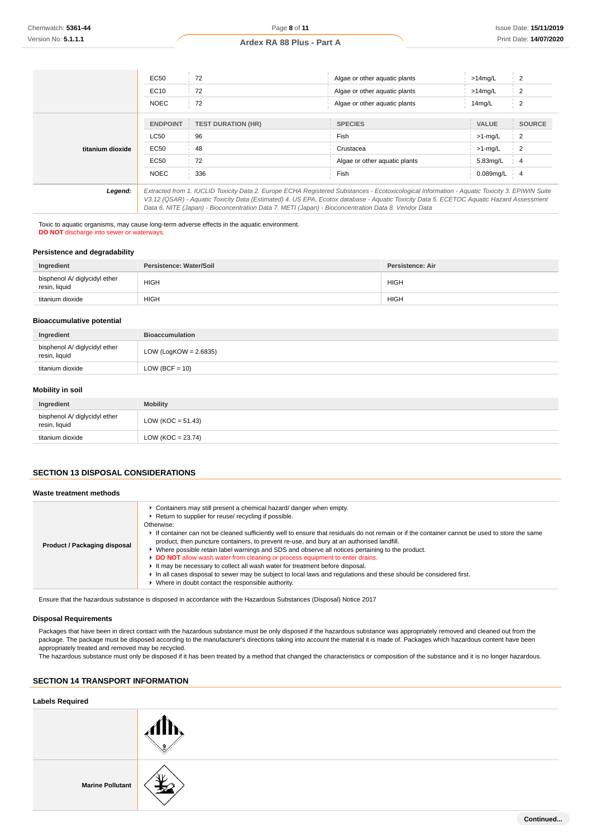|                  | EC50            | 72                                                                                                                                                                                                                                                                                       | Algae or other aguatic plants | $>14$ mg/L   | 2              |
|------------------|-----------------|------------------------------------------------------------------------------------------------------------------------------------------------------------------------------------------------------------------------------------------------------------------------------------------|-------------------------------|--------------|----------------|
|                  | EC10            | 72                                                                                                                                                                                                                                                                                       | Algae or other aguatic plants | $>14$ mg/L   | $\overline{2}$ |
|                  | <b>NOEC</b>     | 72                                                                                                                                                                                                                                                                                       | Algae or other aguatic plants | 14mg/L       | $\overline{2}$ |
|                  | <b>ENDPOINT</b> | <b>TEST DURATION (HR)</b>                                                                                                                                                                                                                                                                | <b>SPECIES</b>                | <b>VALUE</b> | <b>SOURCE</b>  |
|                  | <b>LC50</b>     | 96                                                                                                                                                                                                                                                                                       | Fish                          | $>1$ -mg/L   | 2              |
| titanium dioxide | EC50            | 48                                                                                                                                                                                                                                                                                       | Crustacea                     | $>1$ -mg/L   | $\overline{2}$ |
|                  | EC50            | 72                                                                                                                                                                                                                                                                                       | Algae or other aquatic plants | 5.83mg/L     | 4              |
|                  | <b>NOEC</b>     | 336                                                                                                                                                                                                                                                                                      | Fish                          | $0.089$ mg/L | $\overline{4}$ |
| Legend:          |                 | Extracted from 1. IUCLID Toxicity Data 2. Europe ECHA Registered Substances - Ecotoxicological Information - Aquatic Toxicity 3. EPIWIN Suite<br>V3.12 (QSAR) - Aquatic Toxicity Data (Estimated) 4. US EPA, Ecotox database - Aquatic Toxicity Data 5. ECETOC Aquatic Hazard Assessment |                               |              |                |

Data 6. NITE (Japan) - Bioconcentration Data 7. METI (Japan) - Bioconcentration Data 8. Vendor Data

Toxic to aquatic organisms, may cause long-term adverse effects in the aquatic environment. **DO NOT** discharge into sewer or waterways.

# **Persistence and degradability**

| Ingredient                                     | Persistence: Water/Soil | Persistence: Air |
|------------------------------------------------|-------------------------|------------------|
| bisphenol A/ diglycidyl ether<br>resin, liquid | <b>HIGH</b>             | <b>HIGH</b>      |
| titanium dioxide                               | <b>HIGH</b>             | <b>HIGH</b>      |

### **Bioaccumulative potential**

| Ingredient                                     | <b>Bioaccumulation</b>   |
|------------------------------------------------|--------------------------|
| bisphenol A/ diglycidyl ether<br>resin, liquid | LOW (LogKOW = $2.6835$ ) |
| titanium dioxide                               | LOW (BCF = $10$ )        |

### **Mobility in soil**

| Ingredient                                     | <b>Mobility</b>      |
|------------------------------------------------|----------------------|
| bisphenol A/ diglycidyl ether<br>resin, liquid | $LOW (KOC = 51.43)$  |
| titanium dioxide                               | LOW (KOC = $23.74$ ) |

# **SECTION 13 DISPOSAL CONSIDERATIONS**

#### **Waste treatment methods**

| Product / Packaging disposal | Containers may still present a chemical hazard/ danger when empty.<br>Return to supplier for reuse/ recycling if possible.<br>Otherwise:<br>If container can not be cleaned sufficiently well to ensure that residuals do not remain or if the container cannot be used to store the same<br>product, then puncture containers, to prevent re-use, and bury at an authorised landfill.<br>Where possible retain label warnings and SDS and observe all notices pertaining to the product.<br>DO NOT allow wash water from cleaning or process equipment to enter drains.<br>It may be necessary to collect all wash water for treatment before disposal.<br>In all cases disposal to sewer may be subject to local laws and regulations and these should be considered first.<br>▶ Where in doubt contact the responsible authority. |
|------------------------------|--------------------------------------------------------------------------------------------------------------------------------------------------------------------------------------------------------------------------------------------------------------------------------------------------------------------------------------------------------------------------------------------------------------------------------------------------------------------------------------------------------------------------------------------------------------------------------------------------------------------------------------------------------------------------------------------------------------------------------------------------------------------------------------------------------------------------------------|
|------------------------------|--------------------------------------------------------------------------------------------------------------------------------------------------------------------------------------------------------------------------------------------------------------------------------------------------------------------------------------------------------------------------------------------------------------------------------------------------------------------------------------------------------------------------------------------------------------------------------------------------------------------------------------------------------------------------------------------------------------------------------------------------------------------------------------------------------------------------------------|

Ensure that the hazardous substance is disposed in accordance with the Hazardous Substances (Disposal) Notice 2017

#### **Disposal Requirements**

Packages that have been in direct contact with the hazardous substance must be only disposed if the hazardous substance was appropriately removed and cleaned out from the package. The package must be disposed according to the manufacturer's directions taking into account the material it is made of. Packages which hazardous content have been appropriately treated and removed may be recycled.

The hazardous substance must only be disposed if it has been treated by a method that changed the characteristics or composition of the substance and it is no longer hazardous.

# **SECTION 14 TRANSPORT INFORMATION**

### **Labels Required**

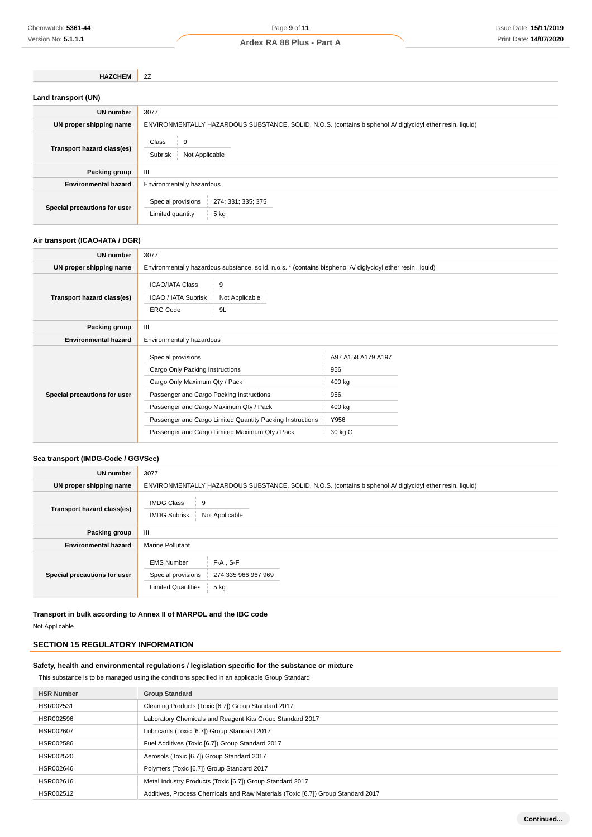# Page **9** of **11 Ardex RA 88 Plus - Part A**

**HAZCHEM** 2Z

| Land transport (UN)          |                                                                                                           |  |
|------------------------------|-----------------------------------------------------------------------------------------------------------|--|
| UN number                    | 3077                                                                                                      |  |
| UN proper shipping name      | ENVIRONMENTALLY HAZARDOUS SUBSTANCE, SOLID, N.O.S. (contains bisphenol A/ diglycidyl ether resin, liquid) |  |
| Transport hazard class(es)   | Class<br>9<br>Subrisk<br>Not Applicable                                                                   |  |
| Packing group                | Ш                                                                                                         |  |
| <b>Environmental hazard</b>  | Environmentally hazardous                                                                                 |  |
| Special precautions for user | Special provisions<br>274; 331; 335; 375<br>$5$ kg<br>Limited quantity                                    |  |

# **Air transport (ICAO-IATA / DGR)**

| UN number                    | 3077                                                                                                                                                                                                                                                                                        |                                                                                                             |  |
|------------------------------|---------------------------------------------------------------------------------------------------------------------------------------------------------------------------------------------------------------------------------------------------------------------------------------------|-------------------------------------------------------------------------------------------------------------|--|
| UN proper shipping name      |                                                                                                                                                                                                                                                                                             | Environmentally hazardous substance, solid, n.o.s. * (contains bisphenol A/ diglycidyl ether resin, liquid) |  |
| Transport hazard class(es)   | <b>ICAO/IATA Class</b><br>9<br>ICAO / IATA Subrisk<br>Not Applicable<br><b>ERG Code</b><br>9L                                                                                                                                                                                               |                                                                                                             |  |
| Packing group                | $\mathbf{III}$                                                                                                                                                                                                                                                                              |                                                                                                             |  |
| <b>Environmental hazard</b>  | Environmentally hazardous                                                                                                                                                                                                                                                                   |                                                                                                             |  |
| Special precautions for user | Special provisions<br>Cargo Only Packing Instructions<br>Cargo Only Maximum Qty / Pack<br>Passenger and Cargo Packing Instructions<br>Passenger and Cargo Maximum Qty / Pack<br>Passenger and Cargo Limited Quantity Packing Instructions<br>Passenger and Cargo Limited Maximum Qty / Pack | A97 A158 A179 A197<br>956<br>400 kg<br>956<br>400 kg<br>Y956<br>30 kg G                                     |  |

# **Sea transport (IMDG-Code / GGVSee)**

| UN number                    | 3077                                                                                                               |
|------------------------------|--------------------------------------------------------------------------------------------------------------------|
| UN proper shipping name      | ENVIRONMENTALLY HAZARDOUS SUBSTANCE, SOLID, N.O.S. (contains bisphenol A/ diglycidyl ether resin, liquid)          |
| Transport hazard class(es)   | <b>IMDG Class</b><br>9<br><b>IMDG Subrisk</b><br>Not Applicable                                                    |
| Packing group                | Ш                                                                                                                  |
| <b>Environmental hazard</b>  | <b>Marine Pollutant</b>                                                                                            |
| Special precautions for user | $F-A$ , S-F<br><b>EMS Number</b><br>Special provisions<br>274 335 966 967 969<br><b>Limited Quantities</b><br>5 kg |

**Transport in bulk according to Annex II of MARPOL and the IBC code** Not Applicable

# **SECTION 15 REGULATORY INFORMATION**

# **Safety, health and environmental regulations / legislation specific for the substance or mixture**

This substance is to be managed using the conditions specified in an applicable Group Standard

| <b>HSR Number</b> | <b>Group Standard</b>                                                            |
|-------------------|----------------------------------------------------------------------------------|
| HSR002531         | Cleaning Products (Toxic [6.7]) Group Standard 2017                              |
| HSR002596         | Laboratory Chemicals and Reagent Kits Group Standard 2017                        |
| HSR002607         | Lubricants (Toxic [6.7]) Group Standard 2017                                     |
| HSR002586         | Fuel Additives (Toxic [6.7]) Group Standard 2017                                 |
| HSR002520         | Aerosols (Toxic [6.7]) Group Standard 2017                                       |
| HSR002646         | Polymers (Toxic [6.7]) Group Standard 2017                                       |
| HSR002616         | Metal Industry Products (Toxic [6.7]) Group Standard 2017                        |
| HSR002512         | Additives, Process Chemicals and Raw Materials (Toxic [6.7]) Group Standard 2017 |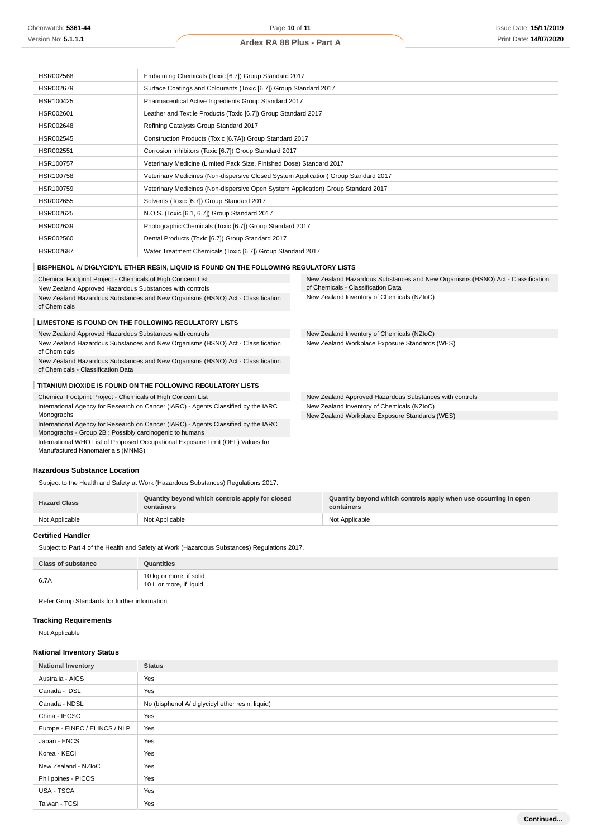# Page **10** of **11**

# **Ardex RA 88 Plus - Part A**

| HSR002568 | Embalming Chemicals (Toxic [6.7]) Group Standard 2017                               |
|-----------|-------------------------------------------------------------------------------------|
| HSR002679 | Surface Coatings and Colourants (Toxic [6.7]) Group Standard 2017                   |
| HSR100425 | Pharmaceutical Active Ingredients Group Standard 2017                               |
| HSR002601 | Leather and Textile Products (Toxic [6.7]) Group Standard 2017                      |
| HSR002648 | Refining Catalysts Group Standard 2017                                              |
| HSR002545 | Construction Products (Toxic [6.7A]) Group Standard 2017                            |
| HSR002551 | Corrosion Inhibitors (Toxic [6.7]) Group Standard 2017                              |
| HSR100757 | Veterinary Medicine (Limited Pack Size, Finished Dose) Standard 2017                |
| HSR100758 | Veterinary Medicines (Non-dispersive Closed System Application) Group Standard 2017 |
| HSR100759 | Veterinary Medicines (Non-dispersive Open System Application) Group Standard 2017   |
| HSR002655 | Solvents (Toxic [6.7]) Group Standard 2017                                          |
| HSR002625 | N.O.S. (Toxic [6.1, 6.7]) Group Standard 2017                                       |
| HSR002639 | Photographic Chemicals (Toxic [6.7]) Group Standard 2017                            |
| HSR002560 | Dental Products (Toxic [6.7]) Group Standard 2017                                   |
| HSR002687 | Water Treatment Chemicals (Toxic [6.7]) Group Standard 2017                         |

### **BISPHENOL A/ DIGLYCIDYL ETHER RESIN, LIQUID IS FOUND ON THE FOLLOWING REGULATORY LISTS**

| Chemical Footprint Project - Chemicals of High Concern List<br>New Zealand Approved Hazardous Substances with controls                        | New Zealand Hazardous Substances and New Organisms (HSNO) Act - Classification<br>of Chemicals - Classification Data |
|-----------------------------------------------------------------------------------------------------------------------------------------------|----------------------------------------------------------------------------------------------------------------------|
| New Zealand Hazardous Substances and New Organisms (HSNO) Act - Classification<br>of Chemicals                                                | New Zealand Inventory of Chemicals (NZIoC)                                                                           |
| LIMESTONE IS FOUND ON THE FOLLOWING REGULATORY LISTS                                                                                          |                                                                                                                      |
| New Zealand Approved Hazardous Substances with controls                                                                                       | New Zealand Inventory of Chemicals (NZIoC)                                                                           |
| New Zealand Hazardous Substances and New Organisms (HSNO) Act - Classification<br>of Chemicals                                                | New Zealand Workplace Exposure Standards (WES)                                                                       |
| New Zealand Hazardous Substances and New Organisms (HSNO) Act - Classification<br>of Chemicals - Classification Data                          |                                                                                                                      |
| TITANIUM DIOXIDE IS FOUND ON THE FOLLOWING REGULATORY LISTS                                                                                   |                                                                                                                      |
| Chemical Footprint Project - Chemicals of High Concern List                                                                                   | New Zealand Approved Hazardous Substances with controls                                                              |
| International Agency for Research on Cancer (IARC) - Agents Classified by the IARC                                                            | New Zealand Inventory of Chemicals (NZIoC)                                                                           |
| Monographs                                                                                                                                    | New Zealand Workplace Exposure Standards (WES)                                                                       |
| International Agency for Research on Cancer (IARC) - Agents Classified by the IARC<br>Monographs - Group 2B : Possibly carcinogenic to humans |                                                                                                                      |
| International WHO List of Proposed Occupational Exposure Limit (OEL) Values for<br>Manufactured Nanomaterials (MNMS)                          |                                                                                                                      |
|                                                                                                                                               |                                                                                                                      |

### **Hazardous Substance Location**

Subject to the Health and Safety at Work (Hazardous Substances) Regulations 2017.

| <b>Hazard Class</b> | Quantity beyond which controls apply for closed<br>containers | Quantity beyond which controls apply when use occurring in open<br>containers |
|---------------------|---------------------------------------------------------------|-------------------------------------------------------------------------------|
| Not Applicable      | Not Applicable                                                | Not Applicable                                                                |

#### **Certified Handler**

Subject to Part 4 of the Health and Safety at Work (Hazardous Substances) Regulations 2017.

| <b>Class of substance</b> | Quantities                                         |
|---------------------------|----------------------------------------------------|
| 6.7A                      | 10 kg or more, if solid<br>10 L or more, if liquid |

Refer Group Standards for further information

# **Tracking Requirements**

Not Applicable

### **National Inventory Status**

| <b>National Inventory</b>     | <b>Status</b>                                    |  |
|-------------------------------|--------------------------------------------------|--|
| Australia - AICS              | Yes                                              |  |
| Canada - DSL                  | Yes                                              |  |
| Canada - NDSL                 | No (bisphenol A/ diglycidyl ether resin, liquid) |  |
| China - IECSC                 | Yes                                              |  |
| Europe - EINEC / ELINCS / NLP | Yes                                              |  |
| Japan - ENCS                  | Yes                                              |  |
| Korea - KECI                  | Yes                                              |  |
| New Zealand - NZIoC           | Yes                                              |  |
| Philippines - PICCS           | Yes                                              |  |
| USA - TSCA                    | Yes                                              |  |
| Taiwan - TCSI                 | Yes                                              |  |